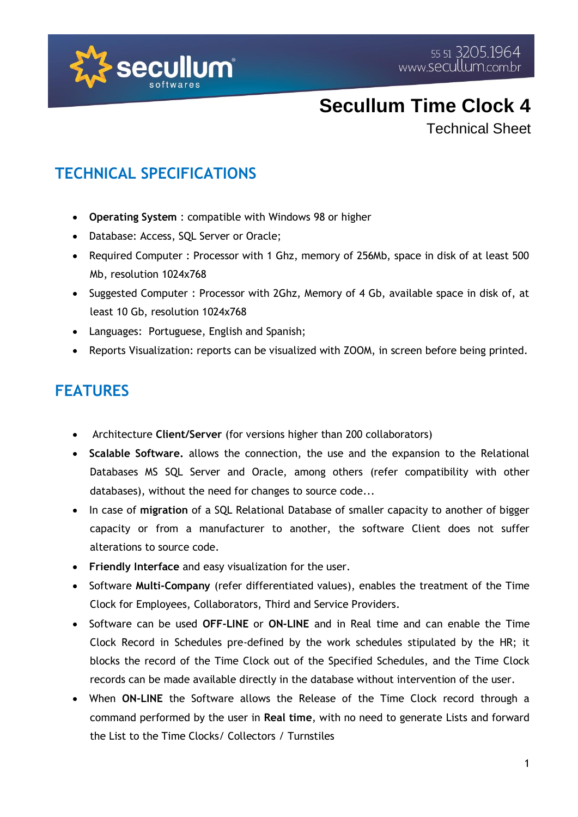

Technical Sheet

#### **TECHNICAL SPECIFICATIONS**

- **Operating System** : compatible with Windows 98 or higher
- Database: Access, SQL Server or Oracle;
- Required Computer : Processor with 1 Ghz, memory of 256Mb, space in disk of at least 500 Mb, resolution 1024x768
- Suggested Computer : Processor with 2Ghz, Memory of 4 Gb, available space in disk of, at least 10 Gb, resolution 1024x768
- Languages: Portuguese, English and Spanish;
- Reports Visualization: reports can be visualized with ZOOM, in screen before being printed.

#### **FEATURES**

- Architecture **Client/Server** (for versions higher than 200 collaborators)
- **Scalable Software.** allows the connection, the use and the expansion to the Relational Databases MS SQL Server and Oracle, among others (refer compatibility with other databases), without the need for changes to source code...
- In case of **migration** of a SQL Relational Database of smaller capacity to another of bigger capacity or from a manufacturer to another, the software Client does not suffer alterations to source code.
- **Friendly Interface** and easy visualization for the user.
- Software **Multi-Company** (refer differentiated values), enables the treatment of the Time Clock for Employees, Collaborators, Third and Service Providers.
- Software can be used **OFF-LINE** or **ON-LINE** and in Real time and can enable the Time Clock Record in Schedules pre-defined by the work schedules stipulated by the HR; it blocks the record of the Time Clock out of the Specified Schedules, and the Time Clock records can be made available directly in the database without intervention of the user.
- When **ON-LINE** the Software allows the Release of the Time Clock record through a command performed by the user in **Real time**, with no need to generate Lists and forward the List to the Time Clocks/ Collectors / Turnstiles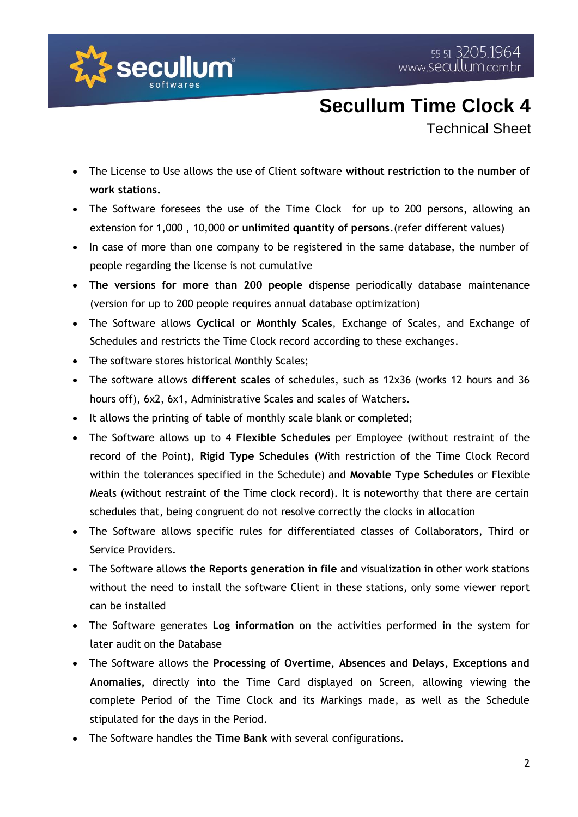

Technical Sheet

- The License to Use allows the use of Client software **without restriction to the number of work stations.**
- The Software foresees the use of the Time Clock for up to 200 persons, allowing an extension for 1,000 , 10,000 **or unlimited quantity of persons**.(refer different values)
- In case of more than one company to be registered in the same database, the number of people regarding the license is not cumulative
- **The versions for more than 200 people** dispense periodically database maintenance (version for up to 200 people requires annual database optimization)
- The Software allows **Cyclical or Monthly Scales**, Exchange of Scales, and Exchange of Schedules and restricts the Time Clock record according to these exchanges.
- The software stores historical Monthly Scales;
- The software allows **different scales** of schedules, such as 12x36 (works 12 hours and 36 hours off), 6x2, 6x1, Administrative Scales and scales of Watchers.
- It allows the printing of table of monthly scale blank or completed;
- The Software allows up to 4 **Flexible Schedules** per Employee (without restraint of the record of the Point), **Rigid Type Schedules** (With restriction of the Time Clock Record within the tolerances specified in the Schedule) and **Movable Type Schedules** or Flexible Meals (without restraint of the Time clock record). It is noteworthy that there are certain schedules that, being congruent do not resolve correctly the clocks in allocation
- The Software allows specific rules for differentiated classes of Collaborators, Third or Service Providers.
- The Software allows the **Reports generation in file** and visualization in other work stations without the need to install the software Client in these stations, only some viewer report can be installed
- The Software generates **Log information** on the activities performed in the system for later audit on the Database
- The Software allows the **Processing of Overtime, Absences and Delays, Exceptions and Anomalies,** directly into the Time Card displayed on Screen, allowing viewing the complete Period of the Time Clock and its Markings made, as well as the Schedule stipulated for the days in the Period.
- The Software handles the **Time Bank** with several configurations.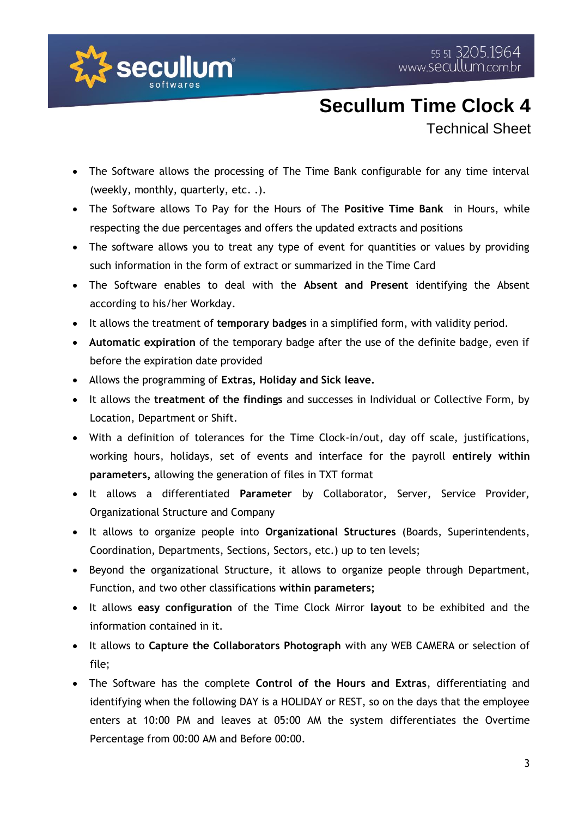

Technical Sheet

- The Software allows the processing of The Time Bank configurable for any time interval (weekly, monthly, quarterly, etc. .).
- The Software allows To Pay for the Hours of The **Positive Time Bank** in Hours, while respecting the due percentages and offers the updated extracts and positions
- The software allows you to treat any type of event for quantities or values by providing such information in the form of extract or summarized in the Time Card
- The Software enables to deal with the **Absent and Present** identifying the Absent according to his/her Workday.
- It allows the treatment of **temporary badges** in a simplified form, with validity period.
- **Automatic expiration** of the temporary badge after the use of the definite badge, even if before the expiration date provided
- Allows the programming of **Extras, Holiday and Sick leave.**
- It allows the **treatment of the findings** and successes in Individual or Collective Form, by Location, Department or Shift.
- With a definition of tolerances for the Time Clock-in/out, day off scale, justifications, working hours, holidays, set of events and interface for the payroll **entirely within parameters,** allowing the generation of files in TXT format
- It allows a differentiated **Parameter** by Collaborator, Server, Service Provider, Organizational Structure and Company
- It allows to organize people into **Organizational Structures** (Boards, Superintendents, Coordination, Departments, Sections, Sectors, etc.) up to ten levels;
- Beyond the organizational Structure, it allows to organize people through Department, Function, and two other classifications **within parameters;**
- It allows **easy configuration** of the Time Clock Mirror **layout** to be exhibited and the information contained in it.
- It allows to **Capture the Collaborators Photograph** with any WEB CAMERA or selection of file;
- The Software has the complete **Control of the Hours and Extras**, differentiating and identifying when the following DAY is a HOLIDAY or REST, so on the days that the employee enters at 10:00 PM and leaves at 05:00 AM the system differentiates the Overtime Percentage from 00:00 AM and Before 00:00.